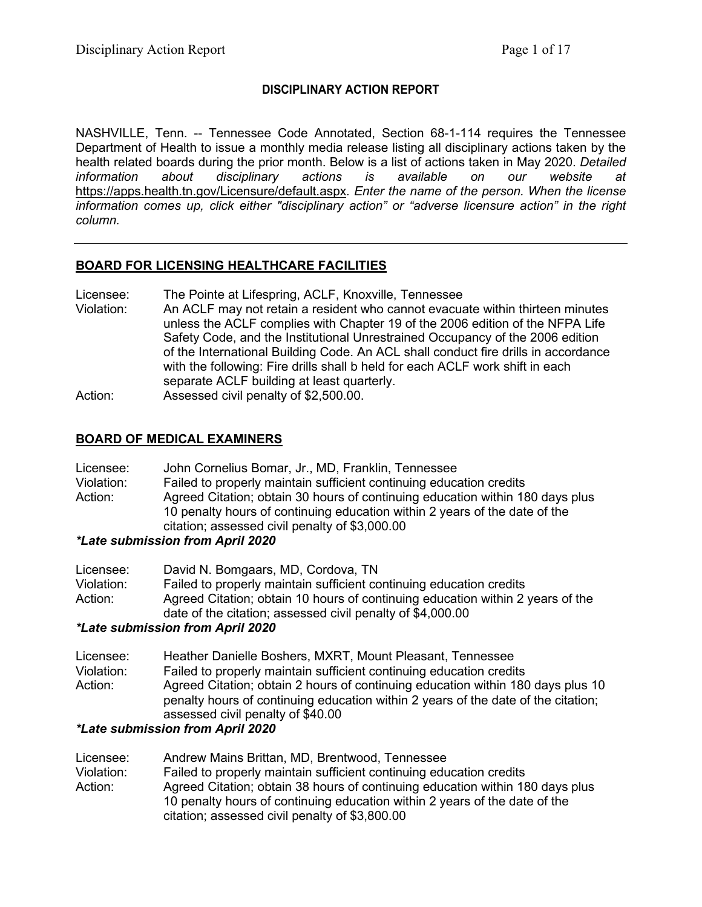### **DISCIPLINARY ACTION REPORT**

NASHVILLE, Tenn. -- Tennessee Code Annotated, Section 68-1-114 requires the Tennessee Department of Health to issue a monthly media release listing all disciplinary actions taken by the health related boards during the prior month. Below is a list of actions taken in May 2020. *Detailed information about disciplinary actions is available on our website at*  <https://apps.health.tn.gov/Licensure/default.aspx>*. Enter the name of the person. When the license information comes up, click either "disciplinary action" or "adverse licensure action" in the right column.*

### **BOARD FOR LICENSING HEALTHCARE FACILITIES**

- Licensee: The Pointe at Lifespring, ACLF, Knoxville, Tennessee
- Violation: An ACLF may not retain a resident who cannot evacuate within thirteen minutes unless the ACLF complies with Chapter 19 of the 2006 edition of the NFPA Life Safety Code, and the Institutional Unrestrained Occupancy of the 2006 edition of the International Building Code. An ACL shall conduct fire drills in accordance with the following: Fire drills shall b held for each ACLF work shift in each separate ACLF building at least quarterly. Action: Assessed civil penalty of \$2,500.00.

### **BOARD OF MEDICAL EXAMINERS**

| Licensee:  | John Cornelius Bomar, Jr., MD, Franklin, Tennessee                  |
|------------|---------------------------------------------------------------------|
| Violation: | Failed to properly maintain sufficient continuing education credits |

Action: Agreed Citation; obtain 30 hours of continuing education within 180 days plus 10 penalty hours of continuing education within 2 years of the date of the citation; assessed civil penalty of \$3,000.00

### *\*Late submission from April 2020*

| Licensee:  | David N. Bomgaars, MD, Cordova, TN                                             |
|------------|--------------------------------------------------------------------------------|
| Violation: | Failed to properly maintain sufficient continuing education credits            |
| Action:    | Agreed Citation; obtain 10 hours of continuing education within 2 years of the |
|            | date of the citation; assessed civil penalty of \$4,000.00                     |

### *\*Late submission from April 2020*

Licensee: Heather Danielle Boshers, MXRT, Mount Pleasant, Tennessee Violation: Failed to properly maintain sufficient continuing education credits Action: Agreed Citation; obtain 2 hours of continuing education within 180 days plus 10 penalty hours of continuing education within 2 years of the date of the citation; assessed civil penalty of \$40.00

### *\*Late submission from April 2020*

| Licensee:  | Andrew Mains Brittan, MD, Brentwood, Tennessee                                |
|------------|-------------------------------------------------------------------------------|
| Violation: | Failed to properly maintain sufficient continuing education credits           |
| Action:    | Agreed Citation; obtain 38 hours of continuing education within 180 days plus |
|            | 10 penalty hours of continuing education within 2 years of the date of the    |
|            | citation; assessed civil penalty of \$3,800.00                                |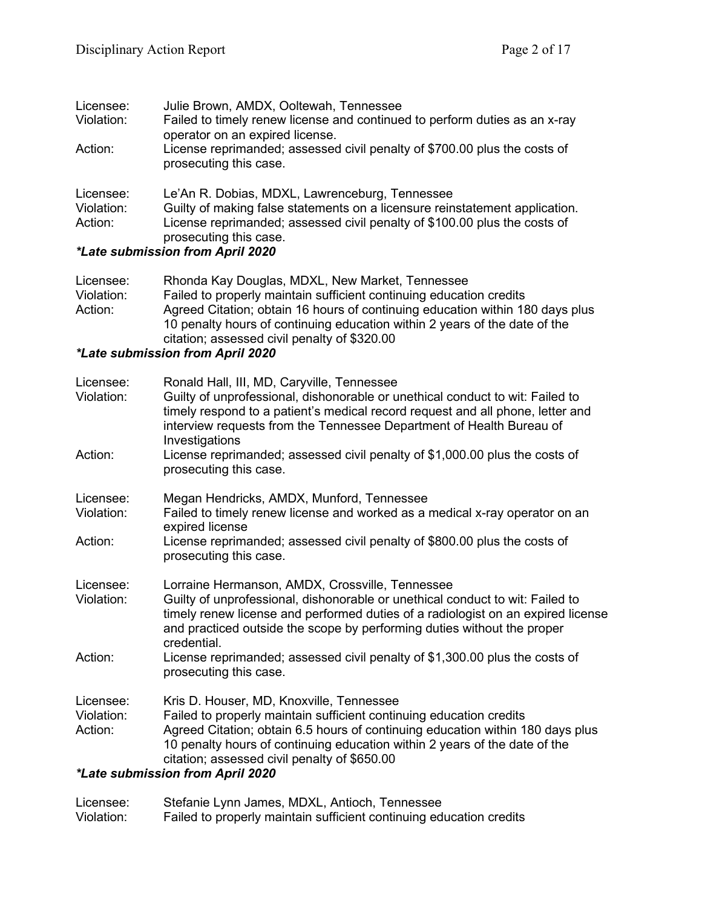| Licensee:  | Julie Brown, AMDX, Ooltewah, Tennessee                                                                        |
|------------|---------------------------------------------------------------------------------------------------------------|
| Violation: | Failed to timely renew license and continued to perform duties as an x-ray<br>operator on an expired license. |
| Action:    | License reprimanded; assessed civil penalty of \$700.00 plus the costs of<br>prosecuting this case.           |
| Licensee:  | Le'An R. Dobias, MDXL, Lawrenceburg, Tennessee                                                                |
| Violation: | Guilty of making false statements on a licensure reinstatement application.                                   |
| Action:    | License reprimanded; assessed civil penalty of \$100.00 plus the costs of                                     |
|            | prosecuting this case.                                                                                        |
|            |                                                                                                               |

### *\*Late submission from April 2020*

| Licensee:  | Rhonda Kay Douglas, MDXL, New Market, Tennessee                               |
|------------|-------------------------------------------------------------------------------|
| Violation: | Failed to properly maintain sufficient continuing education credits           |
| Action:    | Agreed Citation; obtain 16 hours of continuing education within 180 days plus |
|            | 10 penalty hours of continuing education within 2 years of the date of the    |
|            | citation; assessed civil penalty of \$320.00                                  |

### *\*Late submission from April 2020*

| Licensee:<br>Violation: | Ronald Hall, III, MD, Caryville, Tennessee<br>Guilty of unprofessional, dishonorable or unethical conduct to wit: Failed to<br>timely respond to a patient's medical record request and all phone, letter and<br>interview requests from the Tennessee Department of Health Bureau of<br>Investigations        |
|-------------------------|----------------------------------------------------------------------------------------------------------------------------------------------------------------------------------------------------------------------------------------------------------------------------------------------------------------|
| Action:                 | License reprimanded; assessed civil penalty of \$1,000.00 plus the costs of<br>prosecuting this case.                                                                                                                                                                                                          |
| Licensee:               | Megan Hendricks, AMDX, Munford, Tennessee                                                                                                                                                                                                                                                                      |
| Violation:              | Failed to timely renew license and worked as a medical x-ray operator on an<br>expired license                                                                                                                                                                                                                 |
| Action:                 | License reprimanded; assessed civil penalty of \$800.00 plus the costs of<br>prosecuting this case.                                                                                                                                                                                                            |
| Licensee:<br>Violation: | Lorraine Hermanson, AMDX, Crossville, Tennessee<br>Guilty of unprofessional, dishonorable or unethical conduct to wit: Failed to<br>timely renew license and performed duties of a radiologist on an expired license<br>and practiced outside the scope by performing duties without the proper<br>credential. |
| Action:                 | License reprimanded; assessed civil penalty of \$1,300.00 plus the costs of<br>prosecuting this case.                                                                                                                                                                                                          |
| Licensee:               | Kris D. Houser, MD, Knoxville, Tennessee                                                                                                                                                                                                                                                                       |
| Violation:<br>Action:   | Failed to properly maintain sufficient continuing education credits<br>Agreed Citation; obtain 6.5 hours of continuing education within 180 days plus<br>10 penalty hours of continuing education within 2 years of the date of the<br>citation; assessed civil penalty of \$650.00                            |
|                         | <i>*Late submission from April 2020</i>                                                                                                                                                                                                                                                                        |

| Licensee:  | Stefanie Lynn James, MDXL, Antioch, Tennessee                       |
|------------|---------------------------------------------------------------------|
| Violation: | Failed to properly maintain sufficient continuing education credits |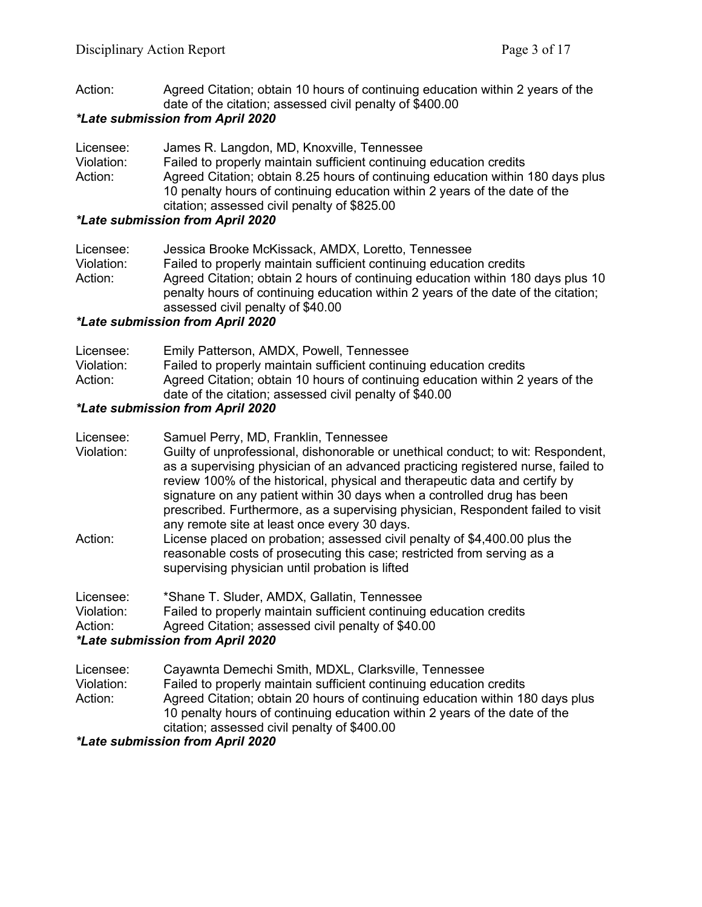Action: Agreed Citation; obtain 10 hours of continuing education within 2 years of the date of the citation; assessed civil penalty of \$400.00

### *\*Late submission from April 2020*

| Licensee:  | James R. Langdon, MD, Knoxville, Tennessee                                      |
|------------|---------------------------------------------------------------------------------|
| Violation: | Failed to properly maintain sufficient continuing education credits             |
| Action:    | Agreed Citation; obtain 8.25 hours of continuing education within 180 days plus |
|            | 10 penalty hours of continuing education within 2 years of the date of the      |
|            | citation; assessed civil penalty of \$825.00                                    |

### *\*Late submission from April 2020*

| Licensee:  | Jessica Brooke McKissack, AMDX, Loretto, Tennessee                                                                                                                   |
|------------|----------------------------------------------------------------------------------------------------------------------------------------------------------------------|
| Violation: | Failed to properly maintain sufficient continuing education credits                                                                                                  |
| Action:    | Agreed Citation; obtain 2 hours of continuing education within 180 days plus 10<br>penalty hours of continuing education within 2 years of the date of the citation; |
|            | assessed civil penalty of \$40.00                                                                                                                                    |

### *\*Late submission from April 2020*

| Licensee:  | Emily Patterson, AMDX, Powell, Tennessee                                                                                                  |
|------------|-------------------------------------------------------------------------------------------------------------------------------------------|
| Violation: | Failed to properly maintain sufficient continuing education credits                                                                       |
| Action:    | Agreed Citation; obtain 10 hours of continuing education within 2 years of the<br>date of the citation; assessed civil penalty of \$40.00 |

## *\*Late submission from April 2020*

| Licensee:  | Samuel Perry, MD, Franklin, Tennessee                                                                                                                                                                                                                                                                                                                                         |
|------------|-------------------------------------------------------------------------------------------------------------------------------------------------------------------------------------------------------------------------------------------------------------------------------------------------------------------------------------------------------------------------------|
| Violation: | Guilty of unprofessional, dishonorable or unethical conduct; to wit: Respondent,                                                                                                                                                                                                                                                                                              |
|            | as a supervising physician of an advanced practicing registered nurse, failed to<br>review 100% of the historical, physical and therapeutic data and certify by<br>signature on any patient within 30 days when a controlled drug has been<br>prescribed. Furthermore, as a supervising physician, Respondent failed to visit<br>any remote site at least once every 30 days. |
| Action:    | License placed on probation; assessed civil penalty of \$4,400.00 plus the                                                                                                                                                                                                                                                                                                    |
|            | reasonable costs of prosecuting this case; restricted from serving as a                                                                                                                                                                                                                                                                                                       |
|            | supervising physician until probation is lifted                                                                                                                                                                                                                                                                                                                               |
| Licensee:  | *Shane T. Sluder, AMDX, Gallatin, Tennessee                                                                                                                                                                                                                                                                                                                                   |
| Violation: | Failed to properly maintain sufficient continuing education credits                                                                                                                                                                                                                                                                                                           |
| Action:    | Agreed Citation; assessed civil penalty of \$40.00                                                                                                                                                                                                                                                                                                                            |
|            | *Late submission from April 2020                                                                                                                                                                                                                                                                                                                                              |
| Licensee:  | Cayawnta Demechi Smith, MDXL, Clarksville, Tennessee                                                                                                                                                                                                                                                                                                                          |
| Violation: | Failed to properly maintain sufficient continuing education credits                                                                                                                                                                                                                                                                                                           |
|            |                                                                                                                                                                                                                                                                                                                                                                               |

Action: Agreed Citation; obtain 20 hours of continuing education within 180 days plus 10 penalty hours of continuing education within 2 years of the date of the citation; assessed civil penalty of \$400.00

*\*Late submission from April 2020*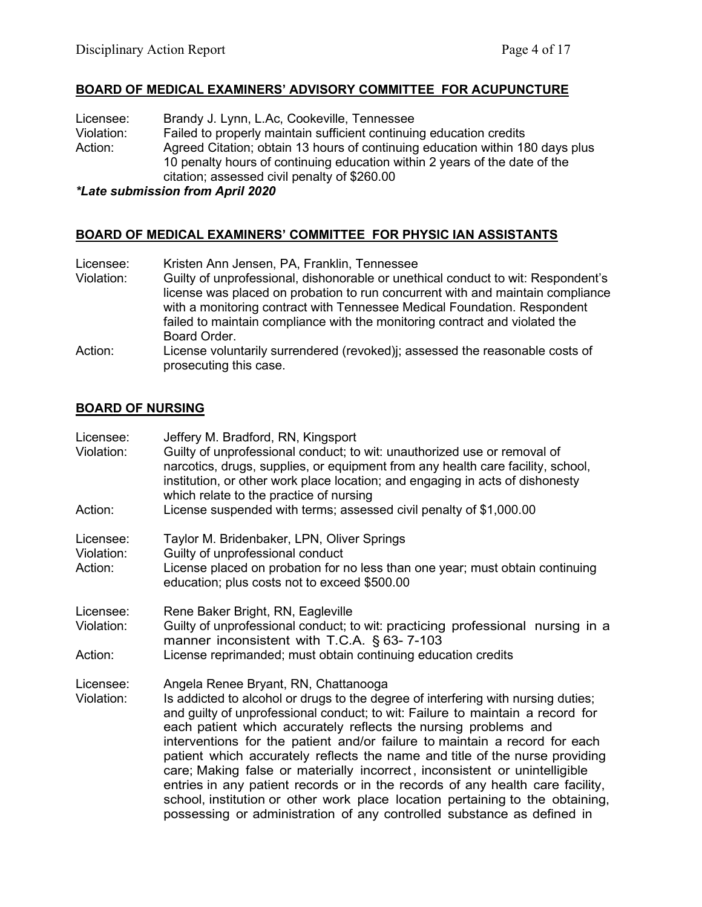### **BOARD OF MEDICAL EXAMINERS' ADVISORY COMMITTEE FOR ACUPUNCTURE**

Licensee: Brandy J. Lynn, L.Ac, Cookeville, Tennessee<br>Violation: Failed to properly maintain sufficient continuin Violation: Failed to properly maintain sufficient continuing education credits<br>Action: Agreed Citation: obtain 13 hours of continuing education within 18 Agreed Citation; obtain 13 hours of continuing education within 180 days plus 10 penalty hours of continuing education within 2 years of the date of the citation; assessed civil penalty of \$260.00

### *\*Late submission from April 2020*

### **BOARD OF MEDICAL EXAMINERS' COMMITTEE FOR PHYSIC IAN ASSISTANTS**

| Licensee:  | Kristen Ann Jensen, PA, Franklin, Tennessee                                                                                                                        |
|------------|--------------------------------------------------------------------------------------------------------------------------------------------------------------------|
| Violation: | Guilty of unprofessional, dishonorable or unethical conduct to wit: Respondent's<br>license was placed on probation to run concurrent with and maintain compliance |
|            | with a monitoring contract with Tennessee Medical Foundation. Respondent                                                                                           |
|            | failed to maintain compliance with the monitoring contract and violated the<br>Board Order.                                                                        |
| Action:    | License voluntarily surrendered (revoked) ; assessed the reasonable costs of<br>prosecuting this case.                                                             |

### **BOARD OF NURSING**

| Licensee:<br>Violation:            | Jeffery M. Bradford, RN, Kingsport<br>Guilty of unprofessional conduct; to wit: unauthorized use or removal of<br>narcotics, drugs, supplies, or equipment from any health care facility, school,<br>institution, or other work place location; and engaging in acts of dishonesty<br>which relate to the practice of nursing                                                                                                                                                                                                                                                                                                                                                                                                                                         |
|------------------------------------|-----------------------------------------------------------------------------------------------------------------------------------------------------------------------------------------------------------------------------------------------------------------------------------------------------------------------------------------------------------------------------------------------------------------------------------------------------------------------------------------------------------------------------------------------------------------------------------------------------------------------------------------------------------------------------------------------------------------------------------------------------------------------|
| Action:                            | License suspended with terms; assessed civil penalty of \$1,000.00                                                                                                                                                                                                                                                                                                                                                                                                                                                                                                                                                                                                                                                                                                    |
| Licensee:<br>Violation:<br>Action: | Taylor M. Bridenbaker, LPN, Oliver Springs<br>Guilty of unprofessional conduct<br>License placed on probation for no less than one year; must obtain continuing<br>education; plus costs not to exceed \$500.00                                                                                                                                                                                                                                                                                                                                                                                                                                                                                                                                                       |
| Licensee:<br>Violation:<br>Action: | Rene Baker Bright, RN, Eagleville<br>Guilty of unprofessional conduct; to wit: practicing professional nursing in a<br>manner inconsistent with T.C.A. § 63-7-103<br>License reprimanded; must obtain continuing education credits                                                                                                                                                                                                                                                                                                                                                                                                                                                                                                                                    |
|                                    |                                                                                                                                                                                                                                                                                                                                                                                                                                                                                                                                                                                                                                                                                                                                                                       |
| Licensee:<br>Violation:            | Angela Renee Bryant, RN, Chattanooga<br>Is addicted to alcohol or drugs to the degree of interfering with nursing duties;<br>and guilty of unprofessional conduct; to wit: Failure to maintain a record for<br>each patient which accurately reflects the nursing problems and<br>interventions for the patient and/or failure to maintain a record for each<br>patient which accurately reflects the name and title of the nurse providing<br>care; Making false or materially incorrect, inconsistent or unintelligible<br>entries in any patient records or in the records of any health care facility,<br>school, institution or other work place location pertaining to the obtaining,<br>possessing or administration of any controlled substance as defined in |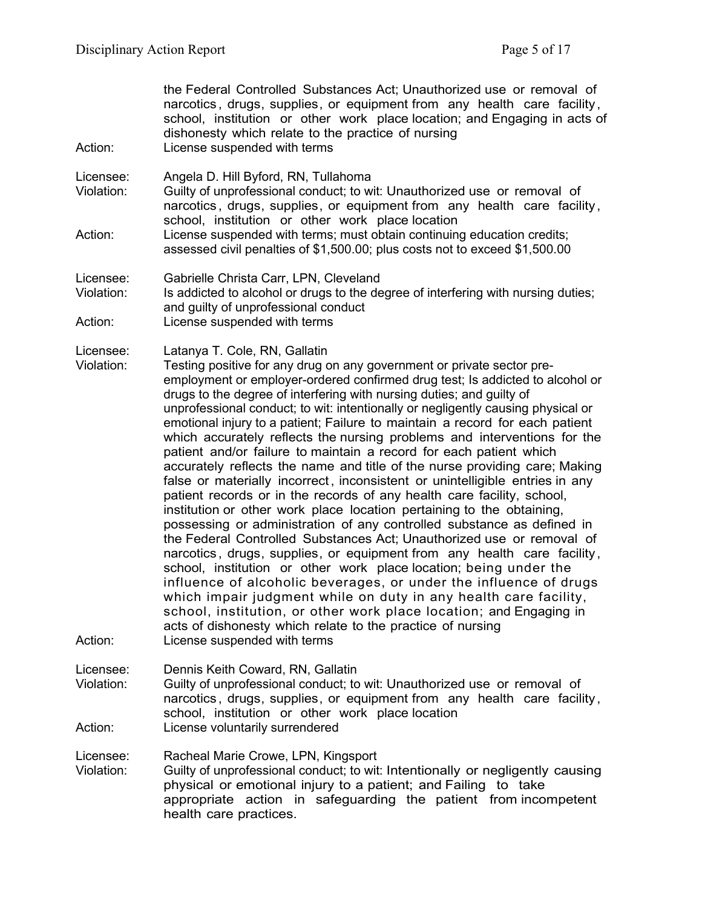| Action:                            | the Federal Controlled Substances Act; Unauthorized use or removal of<br>narcotics, drugs, supplies, or equipment from any health care facility,<br>school, institution or other work place location; and Engaging in acts of<br>dishonesty which relate to the practice of nursing<br>License suspended with terms                                                                                                                                                                                                                                                                                                                                                                                                                                                                                                                                                                                                                                                                                                                                                                                                                                                                                                                                                                                                                                                                                                                                                                                                      |
|------------------------------------|--------------------------------------------------------------------------------------------------------------------------------------------------------------------------------------------------------------------------------------------------------------------------------------------------------------------------------------------------------------------------------------------------------------------------------------------------------------------------------------------------------------------------------------------------------------------------------------------------------------------------------------------------------------------------------------------------------------------------------------------------------------------------------------------------------------------------------------------------------------------------------------------------------------------------------------------------------------------------------------------------------------------------------------------------------------------------------------------------------------------------------------------------------------------------------------------------------------------------------------------------------------------------------------------------------------------------------------------------------------------------------------------------------------------------------------------------------------------------------------------------------------------------|
| Licensee:<br>Violation:            | Angela D. Hill Byford, RN, Tullahoma<br>Guilty of unprofessional conduct; to wit: Unauthorized use or removal of<br>narcotics, drugs, supplies, or equipment from any health care facility,<br>school, institution or other work place location                                                                                                                                                                                                                                                                                                                                                                                                                                                                                                                                                                                                                                                                                                                                                                                                                                                                                                                                                                                                                                                                                                                                                                                                                                                                          |
| Action:                            | License suspended with terms; must obtain continuing education credits;<br>assessed civil penalties of \$1,500.00; plus costs not to exceed \$1,500.00                                                                                                                                                                                                                                                                                                                                                                                                                                                                                                                                                                                                                                                                                                                                                                                                                                                                                                                                                                                                                                                                                                                                                                                                                                                                                                                                                                   |
| Licensee:<br>Violation:            | Gabrielle Christa Carr, LPN, Cleveland<br>Is addicted to alcohol or drugs to the degree of interfering with nursing duties;<br>and guilty of unprofessional conduct                                                                                                                                                                                                                                                                                                                                                                                                                                                                                                                                                                                                                                                                                                                                                                                                                                                                                                                                                                                                                                                                                                                                                                                                                                                                                                                                                      |
| Action:                            | License suspended with terms                                                                                                                                                                                                                                                                                                                                                                                                                                                                                                                                                                                                                                                                                                                                                                                                                                                                                                                                                                                                                                                                                                                                                                                                                                                                                                                                                                                                                                                                                             |
| Licensee:<br>Violation:<br>Action: | Latanya T. Cole, RN, Gallatin<br>Testing positive for any drug on any government or private sector pre-<br>employment or employer-ordered confirmed drug test; Is addicted to alcohol or<br>drugs to the degree of interfering with nursing duties; and guilty of<br>unprofessional conduct; to wit: intentionally or negligently causing physical or<br>emotional injury to a patient; Failure to maintain a record for each patient<br>which accurately reflects the nursing problems and interventions for the<br>patient and/or failure to maintain a record for each patient which<br>accurately reflects the name and title of the nurse providing care; Making<br>false or materially incorrect, inconsistent or unintelligible entries in any<br>patient records or in the records of any health care facility, school,<br>institution or other work place location pertaining to the obtaining,<br>possessing or administration of any controlled substance as defined in<br>the Federal Controlled Substances Act; Unauthorized use or removal of<br>narcotics, drugs, supplies, or equipment from any health care facility,<br>school, institution or other work place location; being under the<br>influence of alcoholic beverages, or under the influence of drugs<br>which impair judgment while on duty in any health care facility,<br>school, institution, or other work place location; and Engaging in<br>acts of dishonesty which relate to the practice of nursing<br>License suspended with terms |
| Licensee:<br>Violation:<br>Action: | Dennis Keith Coward, RN, Gallatin<br>Guilty of unprofessional conduct; to wit: Unauthorized use or removal of<br>narcotics, drugs, supplies, or equipment from any health care facility,<br>school, institution or other work place location<br>License voluntarily surrendered                                                                                                                                                                                                                                                                                                                                                                                                                                                                                                                                                                                                                                                                                                                                                                                                                                                                                                                                                                                                                                                                                                                                                                                                                                          |
| Licensee:<br>Violation:            | Racheal Marie Crowe, LPN, Kingsport<br>Guilty of unprofessional conduct; to wit: Intentionally or negligently causing<br>physical or emotional injury to a patient; and Failing to take<br>appropriate action in safeguarding the patient from incompetent<br>health care practices.                                                                                                                                                                                                                                                                                                                                                                                                                                                                                                                                                                                                                                                                                                                                                                                                                                                                                                                                                                                                                                                                                                                                                                                                                                     |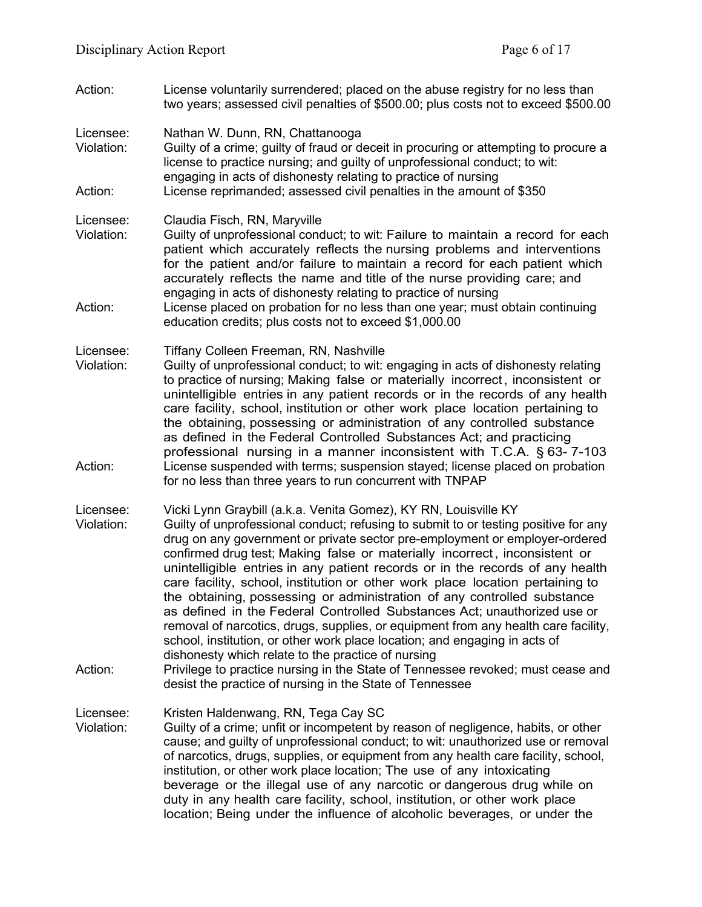Action: License voluntarily surrendered; placed on the abuse registry for no less than two years; assessed civil penalties of \$500.00; plus costs not to exceed \$500.00

Licensee: Nathan W. Dunn, RN, Chattanooga

- Violation: Guilty of a crime; guilty of fraud or deceit in procuring or attempting to procure a license to practice nursing; and guilty of unprofessional conduct; to wit: engaging in acts of dishonesty relating to practice of nursing Action: License reprimanded; assessed civil penalties in the amount of \$350
- Licensee: Claudia Fisch, RN, Maryville<br>Violation: Guilty of unprofessional cond
- Guilty of unprofessional conduct; to wit: Failure to maintain a record for each patient which accurately reflects the nursing problems and interventions for the patient and/or failure to maintain a record for each patient which accurately reflects the name and title of the nurse providing care; and engaging in acts of dishonesty relating to practice of nursing
- Action: License placed on probation for no less than one year; must obtain continuing education credits; plus costs not to exceed \$1,000.00

Licensee: Tiffany Colleen Freeman, RN, Nashville

- Violation: Guilty of unprofessional conduct; to wit: engaging in acts of dishonesty relating to practice of nursing; Making false or materially incorrect , inconsistent or unintelligible entries in any patient records or in the records of any health care facility, school, institution or other work place location pertaining to the obtaining, possessing or administration of any controlled substance as defined in the Federal Controlled Substances Act; and practicing professional nursing in a manner inconsistent with T.C.A. § 63- 7-103 Action: License suspended with terms; suspension stayed; license placed on probation for no less than three years to run concurrent with TNPAP
- Licensee: Vicki Lynn Graybill (a.k.a. Venita Gomez), KY RN, Louisville KY Violation: Guilty of unprofessional conduct; refusing to submit to or testing positive for any drug on any government or private sector pre-employment or employer-ordered confirmed drug test; Making false or materially incorrect , inconsistent or unintelligible entries in any patient records or in the records of any health care facility, school, institution or other work place location pertaining to the obtaining, possessing or administration of any controlled substance as defined in the Federal Controlled Substances Act; unauthorized use or removal of narcotics, drugs, supplies, or equipment from any health care facility, school, institution, or other work place location; and engaging in acts of dishonesty which relate to the practice of nursing
- Action: Privilege to practice nursing in the State of Tennessee revoked; must cease and desist the practice of nursing in the State of Tennessee

Licensee: Kristen Haldenwang, RN, Tega Cay SC

Violation: Guilty of a crime; unfit or incompetent by reason of negligence, habits, or other cause; and guilty of unprofessional conduct; to wit: unauthorized use or removal of narcotics, drugs, supplies, or equipment from any health care facility, school, institution, or other work place location; The use of any intoxicating beverage or the illegal use of any narcotic or dangerous drug while on duty in any health care facility, school, institution, or other work place location; Being under the influence of alcoholic beverages, or under the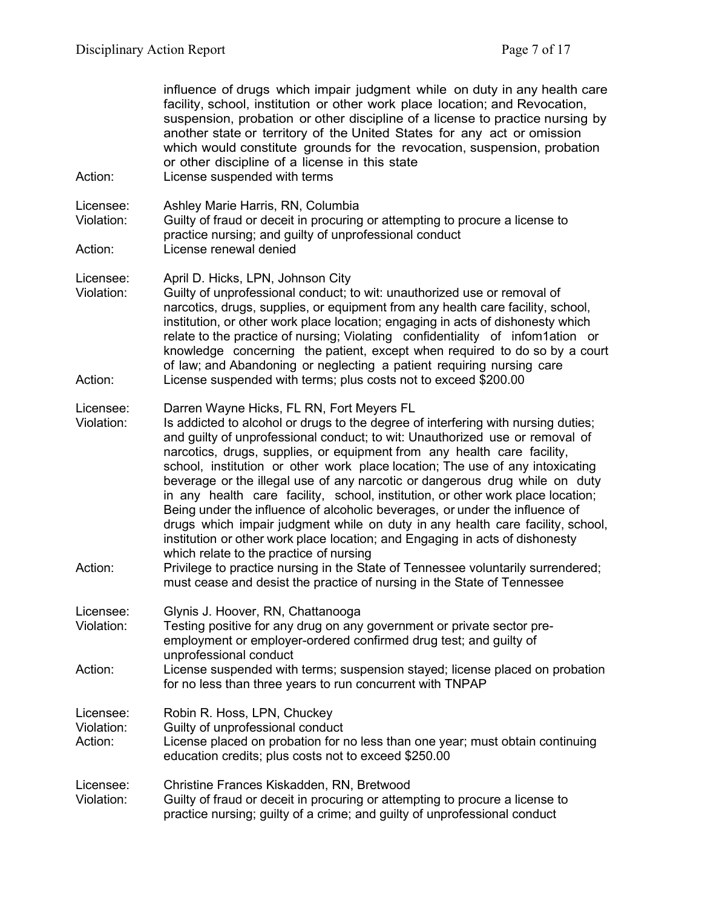| Action:                            | influence of drugs which impair judgment while on duty in any health care<br>facility, school, institution or other work place location; and Revocation,<br>suspension, probation or other discipline of a license to practice nursing by<br>another state or territory of the United States for any act or omission<br>which would constitute grounds for the revocation, suspension, probation<br>or other discipline of a license in this state<br>License suspended with terms                                                                                                                                                                                                                                                                                                                                                                                                                                                                                                                      |
|------------------------------------|---------------------------------------------------------------------------------------------------------------------------------------------------------------------------------------------------------------------------------------------------------------------------------------------------------------------------------------------------------------------------------------------------------------------------------------------------------------------------------------------------------------------------------------------------------------------------------------------------------------------------------------------------------------------------------------------------------------------------------------------------------------------------------------------------------------------------------------------------------------------------------------------------------------------------------------------------------------------------------------------------------|
| Licensee:<br>Violation:            | Ashley Marie Harris, RN, Columbia<br>Guilty of fraud or deceit in procuring or attempting to procure a license to<br>practice nursing; and guilty of unprofessional conduct                                                                                                                                                                                                                                                                                                                                                                                                                                                                                                                                                                                                                                                                                                                                                                                                                             |
| Action:                            | License renewal denied                                                                                                                                                                                                                                                                                                                                                                                                                                                                                                                                                                                                                                                                                                                                                                                                                                                                                                                                                                                  |
| Licensee:<br>Violation:<br>Action: | April D. Hicks, LPN, Johnson City<br>Guilty of unprofessional conduct; to wit: unauthorized use or removal of<br>narcotics, drugs, supplies, or equipment from any health care facility, school,<br>institution, or other work place location; engaging in acts of dishonesty which<br>relate to the practice of nursing; Violating confidentiality of infom1ation or<br>knowledge concerning the patient, except when required to do so by a court<br>of law; and Abandoning or neglecting a patient requiring nursing care<br>License suspended with terms; plus costs not to exceed \$200.00                                                                                                                                                                                                                                                                                                                                                                                                         |
| Licensee:<br>Violation:<br>Action: | Darren Wayne Hicks, FL RN, Fort Meyers FL<br>Is addicted to alcohol or drugs to the degree of interfering with nursing duties;<br>and guilty of unprofessional conduct; to wit: Unauthorized use or removal of<br>narcotics, drugs, supplies, or equipment from any health care facility,<br>school, institution or other work place location; The use of any intoxicating<br>beverage or the illegal use of any narcotic or dangerous drug while on duty<br>in any health care facility, school, institution, or other work place location;<br>Being under the influence of alcoholic beverages, or under the influence of<br>drugs which impair judgment while on duty in any health care facility, school,<br>institution or other work place location; and Engaging in acts of dishonesty<br>which relate to the practice of nursing<br>Privilege to practice nursing in the State of Tennessee voluntarily surrendered;<br>must cease and desist the practice of nursing in the State of Tennessee |
| Licensee:<br>Violation:            | Glynis J. Hoover, RN, Chattanooga<br>Testing positive for any drug on any government or private sector pre-<br>employment or employer-ordered confirmed drug test; and guilty of<br>unprofessional conduct                                                                                                                                                                                                                                                                                                                                                                                                                                                                                                                                                                                                                                                                                                                                                                                              |
| Action:                            | License suspended with terms; suspension stayed; license placed on probation<br>for no less than three years to run concurrent with TNPAP                                                                                                                                                                                                                                                                                                                                                                                                                                                                                                                                                                                                                                                                                                                                                                                                                                                               |
| Licensee:<br>Violation:<br>Action: | Robin R. Hoss, LPN, Chuckey<br>Guilty of unprofessional conduct<br>License placed on probation for no less than one year; must obtain continuing<br>education credits; plus costs not to exceed \$250.00                                                                                                                                                                                                                                                                                                                                                                                                                                                                                                                                                                                                                                                                                                                                                                                                |
| Licensee:<br>Violation:            | Christine Frances Kiskadden, RN, Bretwood<br>Guilty of fraud or deceit in procuring or attempting to procure a license to<br>practice nursing; guilty of a crime; and guilty of unprofessional conduct                                                                                                                                                                                                                                                                                                                                                                                                                                                                                                                                                                                                                                                                                                                                                                                                  |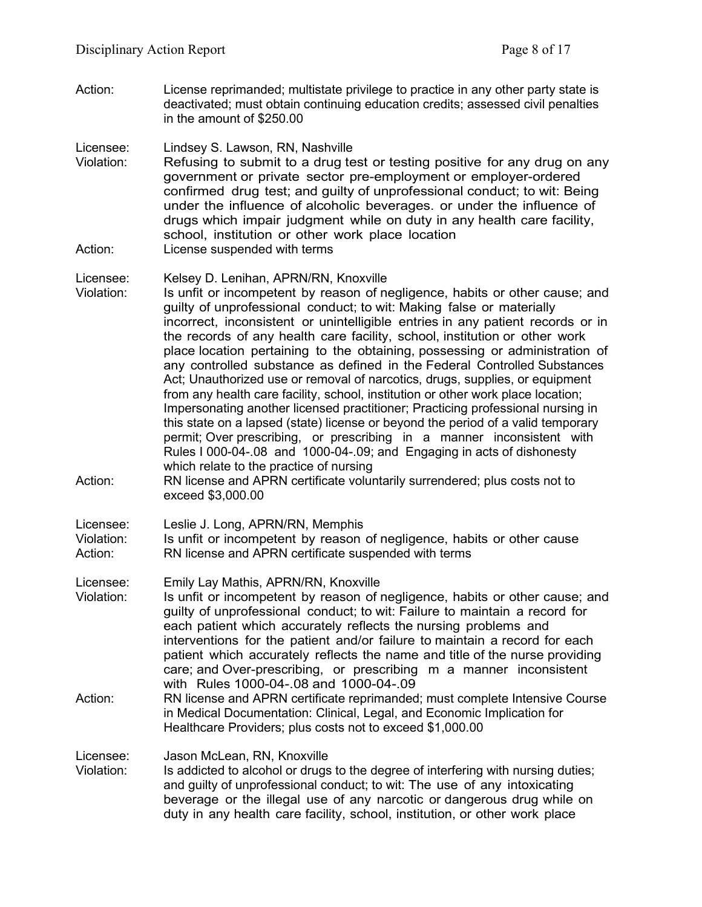Action: License reprimanded; multistate privilege to practice in any other party state is deactivated; must obtain continuing education credits; assessed civil penalties in the amount of \$250.00

Licensee: Lindsey S. Lawson, RN, Nashville

Violation: Refusing to submit to a drug test or testing positive for any drug on any government or private sector pre-employment or employer-ordered confirmed drug test; and guilty of unprofessional conduct; to wit: Being under the influence of alcoholic beverages. or under the influence of drugs which impair judgment while on duty in any health care facility, school, institution or other work place location Action: License suspended with terms

### Licensee: Kelsey D. Lenihan, APRN/RN, Knoxville

- Violation: Is unfit or incompetent by reason of negligence, habits or other cause; and guilty of unprofessional conduct; to wit: Making false or materially incorrect, inconsistent or unintelligible entries in any patient records or in the records of any health care facility, school, institution or other work place location pertaining to the obtaining, possessing or administration of any controlled substance as defined in the Federal Controlled Substances Act; Unauthorized use or removal of narcotics, drugs, supplies, or equipment from any health care facility, school, institution or other work place location; Impersonating another licensed practitioner; Practicing professional nursing in this state on a lapsed (state) license or beyond the period of a valid temporary permit; Over prescribing, or prescribing in a manner inconsistent with Rules I 000-04-.08 and 1000-04-.09; and Engaging in acts of dishonesty which relate to the practice of nursing
- Action: RN license and APRN certificate voluntarily surrendered; plus costs not to exceed \$3,000.00

# Licensee: Leslie J. Long, APRN/RN, Memphis<br>Violation: Is unfit or incompetent by reason

- Is unfit or incompetent by reason of negligence, habits or other cause Action: RN license and APRN certificate suspended with terms
- Licensee: Emily Lay Mathis, APRN/RN, Knoxville
- Violation: Is unfit or incompetent by reason of negligence, habits or other cause; and guilty of unprofessional conduct; to wit: Failure to maintain a record for each patient which accurately reflects the nursing problems and interventions for the patient and/or failure to maintain a record for each patient which accurately reflects the name and title of the nurse providing care; and Over-prescribing, or prescribing m a manner inconsistent with Rules 1000-04-.08 and 1000-04-.09
- Action: RN license and APRN certificate reprimanded; must complete Intensive Course in Medical Documentation: Clinical, Legal, and Economic Implication for Healthcare Providers; plus costs not to exceed \$1,000.00

Licensee: Jason McLean, RN, Knoxville<br>Violation: Is addicted to alcohol or drugs

Is addicted to alcohol or drugs to the degree of interfering with nursing duties; and guilty of unprofessional conduct; to wit: The use of any intoxicating beverage or the illegal use of any narcotic or dangerous drug while on duty in any health care facility, school, institution, or other work place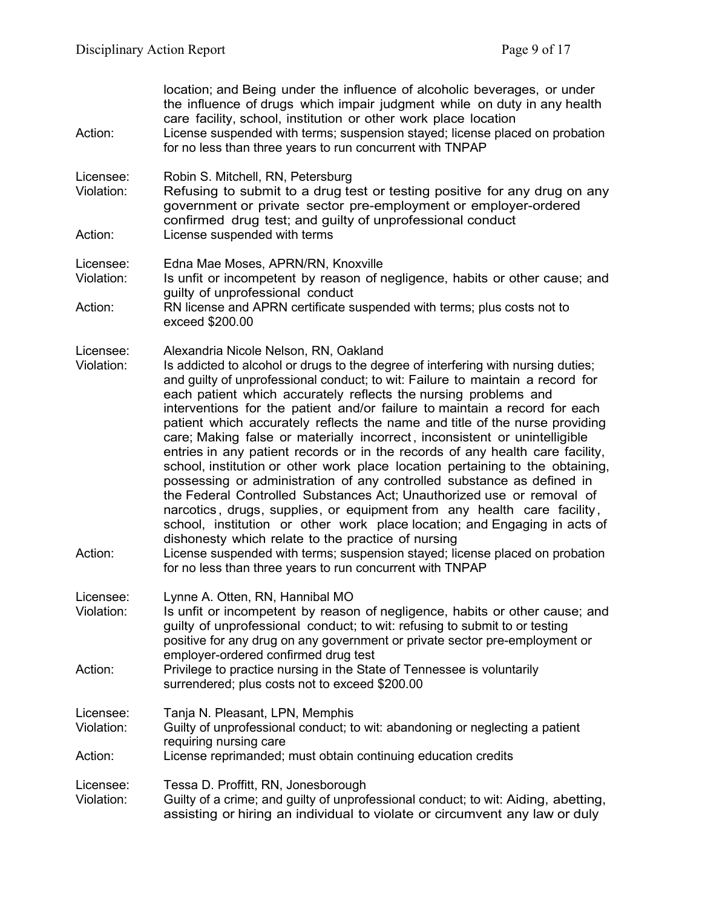| Action:                            | location; and Being under the influence of alcoholic beverages, or under<br>the influence of drugs which impair judgment while on duty in any health<br>care facility, school, institution or other work place location<br>License suspended with terms; suspension stayed; license placed on probation<br>for no less than three years to run concurrent with TNPAP                                                                                                                                                                                                                                                                                                                                                                                                                                                                                                                                                                                                                                                                                                                                                                                                                                       |
|------------------------------------|------------------------------------------------------------------------------------------------------------------------------------------------------------------------------------------------------------------------------------------------------------------------------------------------------------------------------------------------------------------------------------------------------------------------------------------------------------------------------------------------------------------------------------------------------------------------------------------------------------------------------------------------------------------------------------------------------------------------------------------------------------------------------------------------------------------------------------------------------------------------------------------------------------------------------------------------------------------------------------------------------------------------------------------------------------------------------------------------------------------------------------------------------------------------------------------------------------|
| Licensee:<br>Violation:            | Robin S. Mitchell, RN, Petersburg<br>Refusing to submit to a drug test or testing positive for any drug on any<br>government or private sector pre-employment or employer-ordered<br>confirmed drug test; and guilty of unprofessional conduct                                                                                                                                                                                                                                                                                                                                                                                                                                                                                                                                                                                                                                                                                                                                                                                                                                                                                                                                                             |
| Action:                            | License suspended with terms                                                                                                                                                                                                                                                                                                                                                                                                                                                                                                                                                                                                                                                                                                                                                                                                                                                                                                                                                                                                                                                                                                                                                                               |
| Licensee:<br>Violation:            | Edna Mae Moses, APRN/RN, Knoxville<br>Is unfit or incompetent by reason of negligence, habits or other cause; and                                                                                                                                                                                                                                                                                                                                                                                                                                                                                                                                                                                                                                                                                                                                                                                                                                                                                                                                                                                                                                                                                          |
| Action:                            | guilty of unprofessional conduct<br>RN license and APRN certificate suspended with terms; plus costs not to<br>exceed \$200.00                                                                                                                                                                                                                                                                                                                                                                                                                                                                                                                                                                                                                                                                                                                                                                                                                                                                                                                                                                                                                                                                             |
| Licensee:<br>Violation:<br>Action: | Alexandria Nicole Nelson, RN, Oakland<br>Is addicted to alcohol or drugs to the degree of interfering with nursing duties;<br>and guilty of unprofessional conduct; to wit: Failure to maintain a record for<br>each patient which accurately reflects the nursing problems and<br>interventions for the patient and/or failure to maintain a record for each<br>patient which accurately reflects the name and title of the nurse providing<br>care; Making false or materially incorrect, inconsistent or unintelligible<br>entries in any patient records or in the records of any health care facility,<br>school, institution or other work place location pertaining to the obtaining,<br>possessing or administration of any controlled substance as defined in<br>the Federal Controlled Substances Act; Unauthorized use or removal of<br>narcotics, drugs, supplies, or equipment from any health care facility,<br>school, institution or other work place location; and Engaging in acts of<br>dishonesty which relate to the practice of nursing<br>License suspended with terms; suspension stayed; license placed on probation<br>for no less than three years to run concurrent with TNPAP |
| Licensee:<br>Violation:            | Lynne A. Otten, RN, Hannibal MO<br>Is unfit or incompetent by reason of negligence, habits or other cause; and<br>guilty of unprofessional conduct; to wit: refusing to submit to or testing<br>positive for any drug on any government or private sector pre-employment or<br>employer-ordered confirmed drug test                                                                                                                                                                                                                                                                                                                                                                                                                                                                                                                                                                                                                                                                                                                                                                                                                                                                                        |
| Action:                            | Privilege to practice nursing in the State of Tennessee is voluntarily<br>surrendered; plus costs not to exceed \$200.00                                                                                                                                                                                                                                                                                                                                                                                                                                                                                                                                                                                                                                                                                                                                                                                                                                                                                                                                                                                                                                                                                   |
| Licensee:<br>Violation:            | Tanja N. Pleasant, LPN, Memphis<br>Guilty of unprofessional conduct; to wit: abandoning or neglecting a patient<br>requiring nursing care                                                                                                                                                                                                                                                                                                                                                                                                                                                                                                                                                                                                                                                                                                                                                                                                                                                                                                                                                                                                                                                                  |
| Action:                            | License reprimanded; must obtain continuing education credits                                                                                                                                                                                                                                                                                                                                                                                                                                                                                                                                                                                                                                                                                                                                                                                                                                                                                                                                                                                                                                                                                                                                              |
| Licensee:<br>Violation:            | Tessa D. Proffitt, RN, Jonesborough<br>Guilty of a crime; and guilty of unprofessional conduct; to wit: Aiding, abetting,<br>assisting or hiring an individual to violate or circumvent any law or duly                                                                                                                                                                                                                                                                                                                                                                                                                                                                                                                                                                                                                                                                                                                                                                                                                                                                                                                                                                                                    |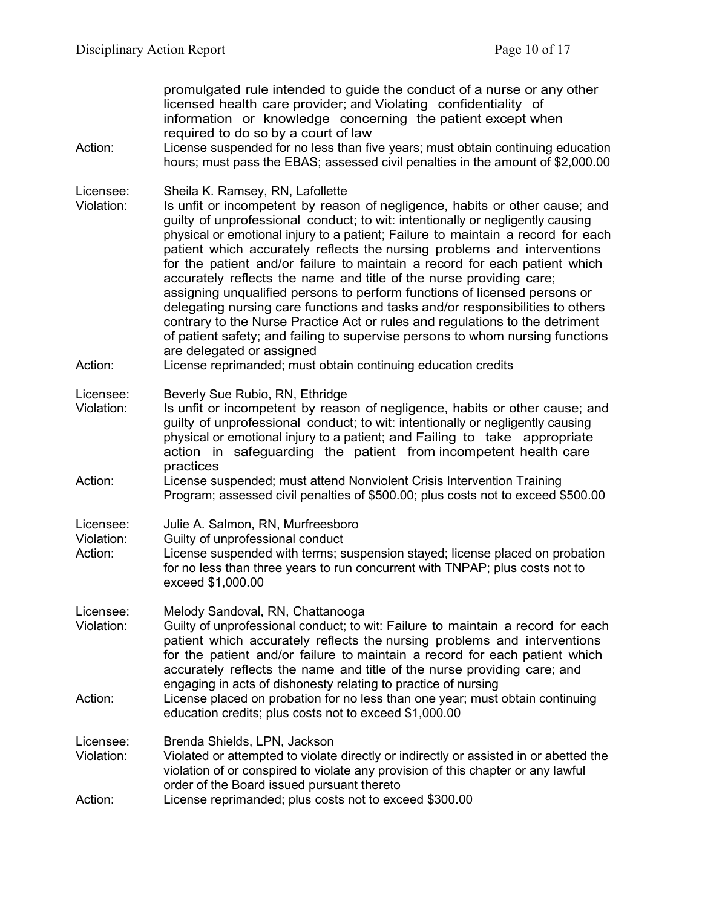promulgated rule intended to guide the conduct of a nurse or any other licensed health care provider; and Violating confidentiality of information or knowledge concerning the patient except when required to do so by a court of law Action: License suspended for no less than five years; must obtain continuing education hours; must pass the EBAS; assessed civil penalties in the amount of \$2,000.00 Licensee: Sheila K. Ramsey, RN, Lafollette Violation: Is unfit or incompetent by reason of negligence, habits or other cause; and guilty of unprofessional conduct; to wit: intentionally or negligently causing physical or emotional injury to a patient; Failure to maintain a record for each patient which accurately reflects the nursing problems and interventions for the patient and/or failure to maintain a record for each patient which accurately reflects the name and title of the nurse providing care; assigning unqualified persons to perform functions of licensed persons or delegating nursing care functions and tasks and/or responsibilities to others contrary to the Nurse Practice Act or rules and regulations to the detriment of patient safety; and failing to supervise persons to whom nursing functions are delegated or assigned Action: License reprimanded; must obtain continuing education credits Licensee: Beverly Sue Rubio, RN, Ethridge Violation: Is unfit or incompetent by reason of negligence, habits or other cause; and guilty of unprofessional conduct; to wit: intentionally or negligently causing physical or emotional injury to a patient; and Failing to take appropriate action in safeguarding the patient from incompetent health care practices

- Action: License suspended; must attend Nonviolent Crisis Intervention Training Program; assessed civil penalties of \$500.00; plus costs not to exceed \$500.00
- Licensee: Julie A. Salmon, RN, Murfreesboro Violation: Guilty of unprofessional conduct Action: License suspended with terms; suspension stayed; license placed on probation for no less than three years to run concurrent with TNPAP; plus costs not to exceed \$1,000.00
- Licensee: Melody Sandoval, RN, Chattanooga Violation: Guilty of unprofessional conduct; to wit: Failure to maintain a record for each patient which accurately reflects the nursing problems and interventions for the patient and/or failure to maintain a record for each patient which accurately reflects the name and title of the nurse providing care; and engaging in acts of dishonesty relating to practice of nursing Action: License placed on probation for no less than one year; must obtain continuing education credits; plus costs not to exceed \$1,000.00
- Licensee: Brenda Shields, LPN, Jackson Violation: Violated or attempted to violate directly or indirectly or assisted in or abetted the violation of or conspired to violate any provision of this chapter or any lawful order of the Board issued pursuant thereto Action: License reprimanded; plus costs not to exceed \$300.00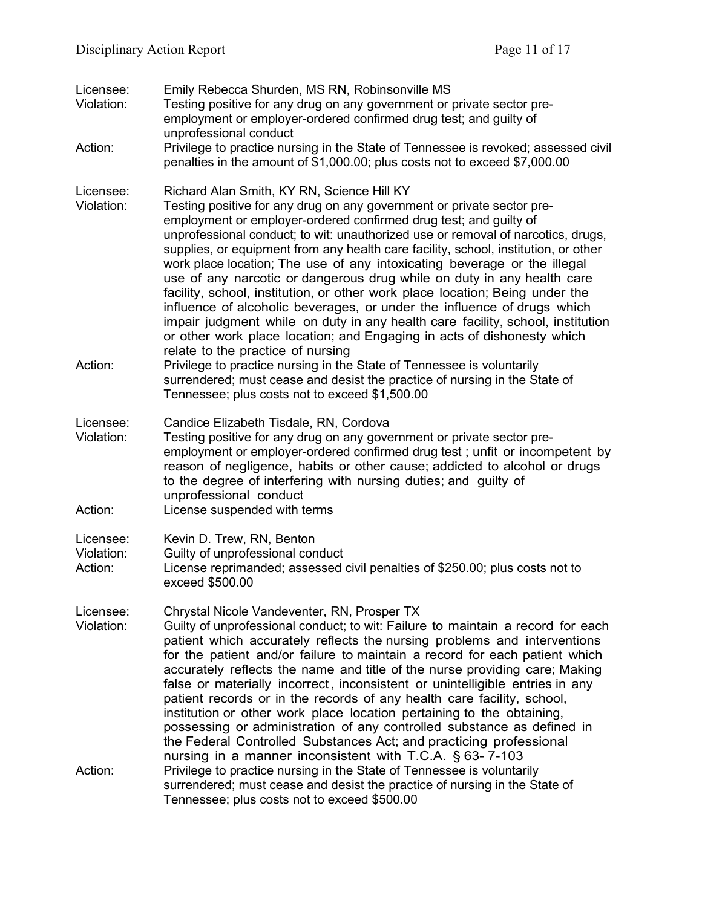| Licensee:<br>Violation:            | Emily Rebecca Shurden, MS RN, Robinsonville MS<br>Testing positive for any drug on any government or private sector pre-<br>employment or employer-ordered confirmed drug test; and guilty of<br>unprofessional conduct                                                                                                                                                                                                                                                                                                                                                                                                                                                                                                                                                                                                                                                                |
|------------------------------------|----------------------------------------------------------------------------------------------------------------------------------------------------------------------------------------------------------------------------------------------------------------------------------------------------------------------------------------------------------------------------------------------------------------------------------------------------------------------------------------------------------------------------------------------------------------------------------------------------------------------------------------------------------------------------------------------------------------------------------------------------------------------------------------------------------------------------------------------------------------------------------------|
| Action:                            | Privilege to practice nursing in the State of Tennessee is revoked; assessed civil<br>penalties in the amount of \$1,000.00; plus costs not to exceed \$7,000.00                                                                                                                                                                                                                                                                                                                                                                                                                                                                                                                                                                                                                                                                                                                       |
| Licensee:<br>Violation:            | Richard Alan Smith, KY RN, Science Hill KY<br>Testing positive for any drug on any government or private sector pre-<br>employment or employer-ordered confirmed drug test; and guilty of<br>unprofessional conduct; to wit: unauthorized use or removal of narcotics, drugs,<br>supplies, or equipment from any health care facility, school, institution, or other<br>work place location; The use of any intoxicating beverage or the illegal<br>use of any narcotic or dangerous drug while on duty in any health care<br>facility, school, institution, or other work place location; Being under the<br>influence of alcoholic beverages, or under the influence of drugs which<br>impair judgment while on duty in any health care facility, school, institution<br>or other work place location; and Engaging in acts of dishonesty which<br>relate to the practice of nursing |
| Action:                            | Privilege to practice nursing in the State of Tennessee is voluntarily<br>surrendered; must cease and desist the practice of nursing in the State of<br>Tennessee; plus costs not to exceed \$1,500.00                                                                                                                                                                                                                                                                                                                                                                                                                                                                                                                                                                                                                                                                                 |
| Licensee:<br>Violation:<br>Action: | Candice Elizabeth Tisdale, RN, Cordova<br>Testing positive for any drug on any government or private sector pre-<br>employment or employer-ordered confirmed drug test; unfit or incompetent by<br>reason of negligence, habits or other cause; addicted to alcohol or drugs<br>to the degree of interfering with nursing duties; and guilty of<br>unprofessional conduct<br>License suspended with terms                                                                                                                                                                                                                                                                                                                                                                                                                                                                              |
| Licensee:<br>Violation:<br>Action: | Kevin D. Trew, RN, Benton<br>Guilty of unprofessional conduct<br>License reprimanded; assessed civil penalties of \$250.00; plus costs not to<br>exceed \$500.00                                                                                                                                                                                                                                                                                                                                                                                                                                                                                                                                                                                                                                                                                                                       |
| Licensee:<br>Violation:            | Chrystal Nicole Vandeventer, RN, Prosper TX<br>Guilty of unprofessional conduct; to wit: Failure to maintain a record for each<br>patient which accurately reflects the nursing problems and interventions<br>for the patient and/or failure to maintain a record for each patient which<br>accurately reflects the name and title of the nurse providing care; Making<br>false or materially incorrect, inconsistent or unintelligible entries in any<br>patient records or in the records of any health care facility, school,<br>institution or other work place location pertaining to the obtaining,<br>possessing or administration of any controlled substance as defined in<br>the Federal Controlled Substances Act; and practicing professional<br>nursing in a manner inconsistent with T.C.A. § 63-7-103                                                                   |
| Action:                            | Privilege to practice nursing in the State of Tennessee is voluntarily<br>surrendered; must cease and desist the practice of nursing in the State of<br>Tennessee; plus costs not to exceed \$500.00                                                                                                                                                                                                                                                                                                                                                                                                                                                                                                                                                                                                                                                                                   |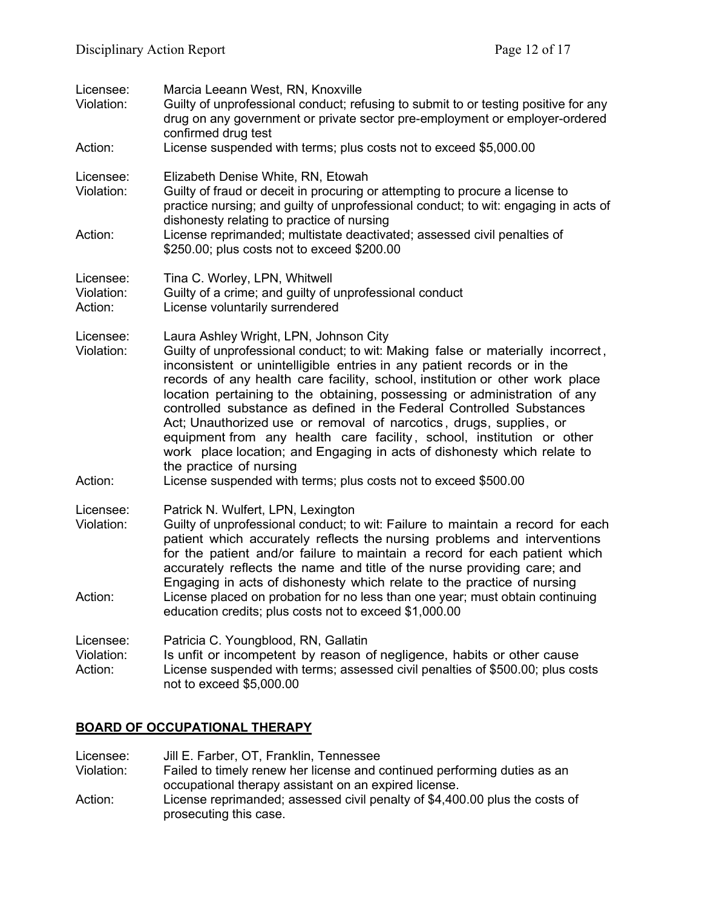| Licensee:<br>Violation:            | Marcia Leeann West, RN, Knoxville<br>Guilty of unprofessional conduct; refusing to submit to or testing positive for any<br>drug on any government or private sector pre-employment or employer-ordered<br>confirmed drug test                                                                                                                                                                                                                                                                                                                                                                                                                                                                                                                                    |
|------------------------------------|-------------------------------------------------------------------------------------------------------------------------------------------------------------------------------------------------------------------------------------------------------------------------------------------------------------------------------------------------------------------------------------------------------------------------------------------------------------------------------------------------------------------------------------------------------------------------------------------------------------------------------------------------------------------------------------------------------------------------------------------------------------------|
| Action:                            | License suspended with terms; plus costs not to exceed \$5,000.00                                                                                                                                                                                                                                                                                                                                                                                                                                                                                                                                                                                                                                                                                                 |
| Licensee:<br>Violation:            | Elizabeth Denise White, RN, Etowah<br>Guilty of fraud or deceit in procuring or attempting to procure a license to<br>practice nursing; and guilty of unprofessional conduct; to wit: engaging in acts of<br>dishonesty relating to practice of nursing                                                                                                                                                                                                                                                                                                                                                                                                                                                                                                           |
| Action:                            | License reprimanded; multistate deactivated; assessed civil penalties of<br>\$250.00; plus costs not to exceed \$200.00                                                                                                                                                                                                                                                                                                                                                                                                                                                                                                                                                                                                                                           |
| Licensee:<br>Violation:<br>Action: | Tina C. Worley, LPN, Whitwell<br>Guilty of a crime; and guilty of unprofessional conduct<br>License voluntarily surrendered                                                                                                                                                                                                                                                                                                                                                                                                                                                                                                                                                                                                                                       |
| Licensee:<br>Violation:<br>Action: | Laura Ashley Wright, LPN, Johnson City<br>Guilty of unprofessional conduct; to wit: Making false or materially incorrect,<br>inconsistent or unintelligible entries in any patient records or in the<br>records of any health care facility, school, institution or other work place<br>location pertaining to the obtaining, possessing or administration of any<br>controlled substance as defined in the Federal Controlled Substances<br>Act; Unauthorized use or removal of narcotics, drugs, supplies, or<br>equipment from any health care facility, school, institution or other<br>work place location; and Engaging in acts of dishonesty which relate to<br>the practice of nursing<br>License suspended with terms; plus costs not to exceed \$500.00 |
| Licensee:<br>Violation:<br>Action: | Patrick N. Wulfert, LPN, Lexington<br>Guilty of unprofessional conduct; to wit: Failure to maintain a record for each<br>patient which accurately reflects the nursing problems and interventions<br>for the patient and/or failure to maintain a record for each patient which<br>accurately reflects the name and title of the nurse providing care; and<br>Engaging in acts of dishonesty which relate to the practice of nursing<br>License placed on probation for no less than one year; must obtain continuing                                                                                                                                                                                                                                             |
| Licensee:<br>Violation:<br>Action: | education credits; plus costs not to exceed \$1,000.00<br>Patricia C. Youngblood, RN, Gallatin<br>Is unfit or incompetent by reason of negligence, habits or other cause<br>License suspended with terms; assessed civil penalties of \$500.00; plus costs<br>not to exceed \$5,000.00                                                                                                                                                                                                                                                                                                                                                                                                                                                                            |

### **BOARD OF OCCUPATIONAL THERAPY**

Licensee: Jill E. Farber, OT, Franklin, Tennessee<br>Violation: Failed to timely renew her license and c Failed to timely renew her license and continued performing duties as an occupational therapy assistant on an expired license. Action: License reprimanded; assessed civil penalty of \$4,400.00 plus the costs of prosecuting this case.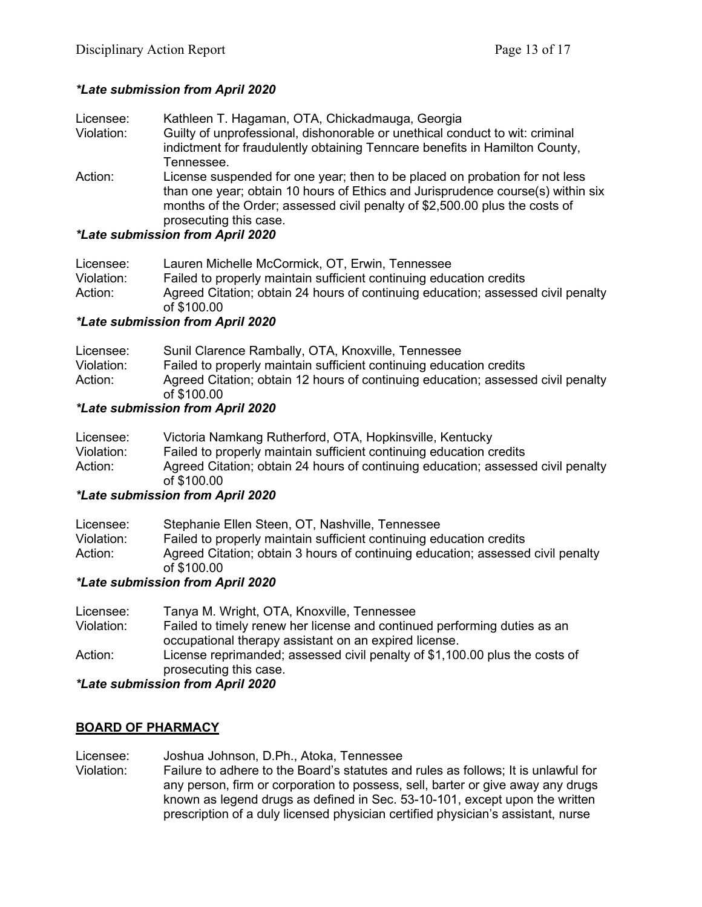### *\*Late submission from April 2020*

| Licensee:  | Kathleen T. Hagaman, OTA, Chickadmauga, Georgia                                                                                                                                                                                               |
|------------|-----------------------------------------------------------------------------------------------------------------------------------------------------------------------------------------------------------------------------------------------|
| Violation: | Guilty of unprofessional, dishonorable or unethical conduct to wit: criminal                                                                                                                                                                  |
|            | indictment for fraudulently obtaining Tenncare benefits in Hamilton County,                                                                                                                                                                   |
|            | Tennessee.                                                                                                                                                                                                                                    |
| Action:    | License suspended for one year; then to be placed on probation for not less<br>than one year; obtain 10 hours of Ethics and Jurisprudence course(s) within six<br>months of the Order; assessed civil penalty of \$2,500.00 plus the costs of |
|            | prosecuting this case.                                                                                                                                                                                                                        |

### *\*Late submission from April 2020*

| Licensee:  | Lauren Michelle McCormick, OT, Erwin, Tennessee                                                 |
|------------|-------------------------------------------------------------------------------------------------|
| Violation: | Failed to properly maintain sufficient continuing education credits                             |
| Action:    | Agreed Citation; obtain 24 hours of continuing education; assessed civil penalty<br>of \$100.00 |
|            |                                                                                                 |

### *\*Late submission from April 2020*

| Licensee:  | Sunil Clarence Rambally, OTA, Knoxville, Tennessee                                              |
|------------|-------------------------------------------------------------------------------------------------|
| Violation: | Failed to properly maintain sufficient continuing education credits                             |
| Action:    | Agreed Citation; obtain 12 hours of continuing education; assessed civil penalty<br>of \$100.00 |

### *\*Late submission from April 2020*

| Licensee:  | Victoria Namkang Rutherford, OTA, Hopkinsville, Kentucky                         |
|------------|----------------------------------------------------------------------------------|
| Violation: | Failed to properly maintain sufficient continuing education credits              |
| Action:    | Agreed Citation; obtain 24 hours of continuing education; assessed civil penalty |
|            | of \$100.00                                                                      |
|            |                                                                                  |

### *\*Late submission from April 2020*

| Licensee:  | Stephanie Ellen Steen, OT, Nashville, Tennessee                                                |
|------------|------------------------------------------------------------------------------------------------|
| Violation: | Failed to properly maintain sufficient continuing education credits                            |
| Action:    | Agreed Citation; obtain 3 hours of continuing education; assessed civil penalty<br>of \$100.00 |

### *\*Late submission from April 2020*

| Licensee:  | Tanya M. Wright, OTA, Knoxville, Tennessee                                                            |
|------------|-------------------------------------------------------------------------------------------------------|
| Violation: | Failed to timely renew her license and continued performing duties as an                              |
|            | occupational therapy assistant on an expired license.                                                 |
| Action:    | License reprimanded; assessed civil penalty of \$1,100.00 plus the costs of<br>prosecuting this case. |
|            |                                                                                                       |

### *\*Late submission from April 2020*

### **BOARD OF PHARMACY**

Licensee: Joshua Johnson, D.Ph., Atoka, Tennessee<br>Violation: Failure to adhere to the Board's statutes an Failure to adhere to the Board's statutes and rules as follows; It is unlawful for any person, firm or corporation to possess, sell, barter or give away any drugs known as legend drugs as defined in Sec. 53-10-101, except upon the written prescription of a duly licensed physician certified physician's assistant, nurse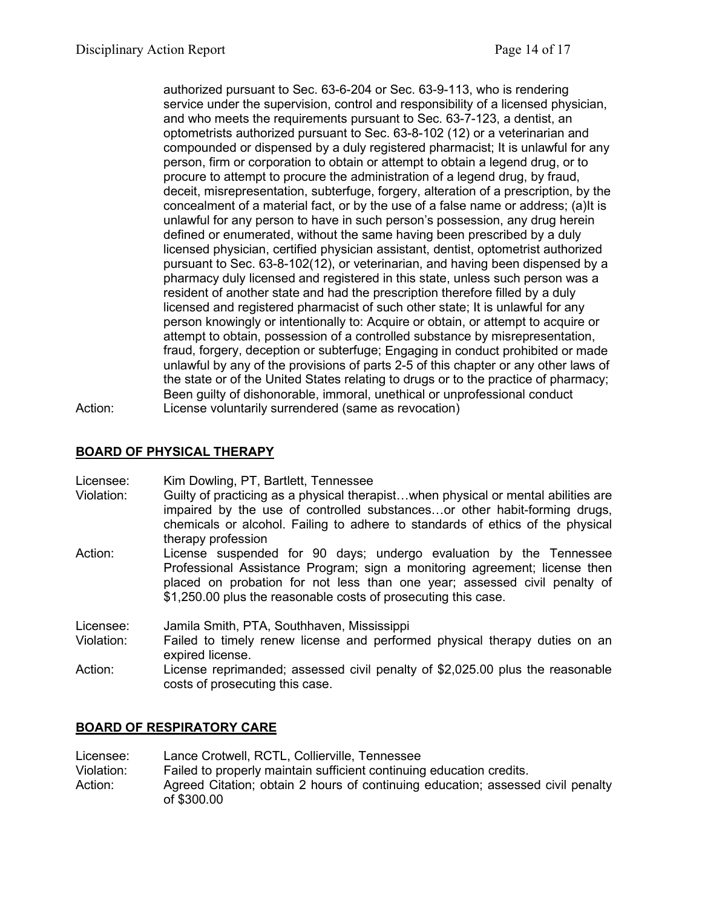authorized pursuant to Sec. 63-6-204 or Sec. 63-9-113, who is rendering service under the supervision, control and responsibility of a licensed physician, and who meets the requirements pursuant to Sec. 63-7-123, a dentist, an optometrists authorized pursuant to Sec. 63-8-102 (12) or a veterinarian and compounded or dispensed by a duly registered pharmacist; It is unlawful for any person, firm or corporation to obtain or attempt to obtain a legend drug, or to procure to attempt to procure the administration of a legend drug, by fraud, deceit, misrepresentation, subterfuge, forgery, alteration of a prescription, by the concealment of a material fact, or by the use of a false name or address; (a)It is unlawful for any person to have in such person's possession, any drug herein defined or enumerated, without the same having been prescribed by a duly licensed physician, certified physician assistant, dentist, optometrist authorized pursuant to Sec. 63-8-102(12), or veterinarian, and having been dispensed by a pharmacy duly licensed and registered in this state, unless such person was a resident of another state and had the prescription therefore filled by a duly licensed and registered pharmacist of such other state; It is unlawful for any person knowingly or intentionally to: Acquire or obtain, or attempt to acquire or attempt to obtain, possession of a controlled substance by misrepresentation, fraud, forgery, deception or subterfuge; Engaging in conduct prohibited or made unlawful by any of the provisions of parts 2-5 of this chapter or any other laws of the state or of the United States relating to drugs or to the practice of pharmacy; Been guilty of dishonorable, immoral, unethical or unprofessional conduct Action: License voluntarily surrendered (same as revocation)

# **BOARD OF PHYSICAL THERAPY**

Licensee: Kim Dowling, PT, Bartlett, Tennessee

- Violation: Guilty of practicing as a physical therapist…when physical or mental abilities are impaired by the use of controlled substances…or other habit-forming drugs, chemicals or alcohol. Failing to adhere to standards of ethics of the physical therapy profession
- Action: License suspended for 90 days; undergo evaluation by the Tennessee Professional Assistance Program; sign a monitoring agreement; license then placed on probation for not less than one year; assessed civil penalty of \$1,250.00 plus the reasonable costs of prosecuting this case.

Licensee: Jamila Smith, PTA, Southhaven, Mississippi

- Violation: Failed to timely renew license and performed physical therapy duties on an expired license.
- Action: License reprimanded; assessed civil penalty of \$2,025.00 plus the reasonable costs of prosecuting this case.

### **BOARD OF RESPIRATORY CARE**

Licensee: Lance Crotwell, RCTL, Collierville, Tennessee<br>Violation: Failed to properly maintain sufficient continuinc Failed to properly maintain sufficient continuing education credits. Action: Agreed Citation; obtain 2 hours of continuing education; assessed civil penalty of \$300.00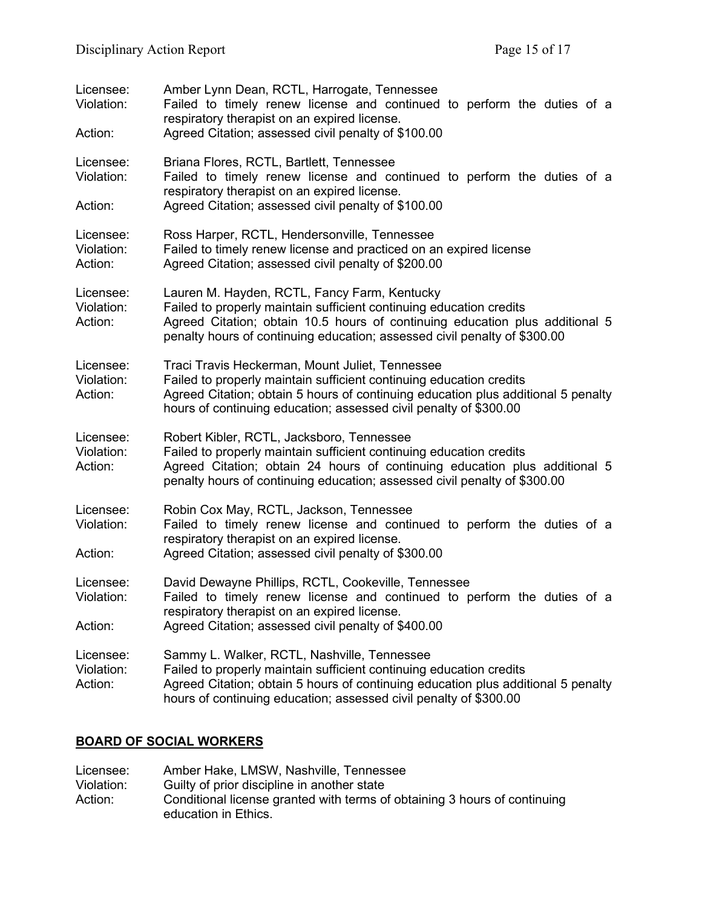| Licensee:<br>Violation:<br>Action: | Amber Lynn Dean, RCTL, Harrogate, Tennessee<br>Failed to timely renew license and continued to perform the duties of a<br>respiratory therapist on an expired license.<br>Agreed Citation; assessed civil penalty of \$100.00                                                    |
|------------------------------------|----------------------------------------------------------------------------------------------------------------------------------------------------------------------------------------------------------------------------------------------------------------------------------|
| Licensee:<br>Violation:            | Briana Flores, RCTL, Bartlett, Tennessee<br>Failed to timely renew license and continued to perform the duties of a<br>respiratory therapist on an expired license.                                                                                                              |
| Action:                            | Agreed Citation; assessed civil penalty of \$100.00                                                                                                                                                                                                                              |
| Licensee:<br>Violation:<br>Action: | Ross Harper, RCTL, Hendersonville, Tennessee<br>Failed to timely renew license and practiced on an expired license<br>Agreed Citation; assessed civil penalty of \$200.00                                                                                                        |
| Licensee:<br>Violation:<br>Action: | Lauren M. Hayden, RCTL, Fancy Farm, Kentucky<br>Failed to properly maintain sufficient continuing education credits<br>Agreed Citation; obtain 10.5 hours of continuing education plus additional 5<br>penalty hours of continuing education; assessed civil penalty of \$300.00 |
| Licensee:<br>Violation:<br>Action: | Traci Travis Heckerman, Mount Juliet, Tennessee<br>Failed to properly maintain sufficient continuing education credits<br>Agreed Citation; obtain 5 hours of continuing education plus additional 5 penalty<br>hours of continuing education; assessed civil penalty of \$300.00 |
| Licensee:<br>Violation:<br>Action: | Robert Kibler, RCTL, Jacksboro, Tennessee<br>Failed to properly maintain sufficient continuing education credits<br>Agreed Citation; obtain 24 hours of continuing education plus additional 5<br>penalty hours of continuing education; assessed civil penalty of \$300.00      |
| Licensee:<br>Violation:<br>Action: | Robin Cox May, RCTL, Jackson, Tennessee<br>Failed to timely renew license and continued to perform the duties of a<br>respiratory therapist on an expired license.<br>Agreed Citation; assessed civil penalty of \$300.00                                                        |
| Licensee:<br>Violation:<br>Action: | David Dewayne Phillips, RCTL, Cookeville, Tennessee<br>Failed to timely renew license and continued to perform the duties of a<br>respiratory therapist on an expired license.<br>Agreed Citation; assessed civil penalty of \$400.00                                            |
| Licensee:<br>Violation:<br>Action: | Sammy L. Walker, RCTL, Nashville, Tennessee<br>Failed to properly maintain sufficient continuing education credits<br>Agreed Citation; obtain 5 hours of continuing education plus additional 5 penalty<br>hours of continuing education; assessed civil penalty of \$300.00     |

# **BOARD OF SOCIAL WORKERS**

| Licensee:  | Amber Hake, LMSW, Nashville, Tennessee                                                            |
|------------|---------------------------------------------------------------------------------------------------|
| Violation: | Guilty of prior discipline in another state                                                       |
| Action:    | Conditional license granted with terms of obtaining 3 hours of continuing<br>education in Ethics. |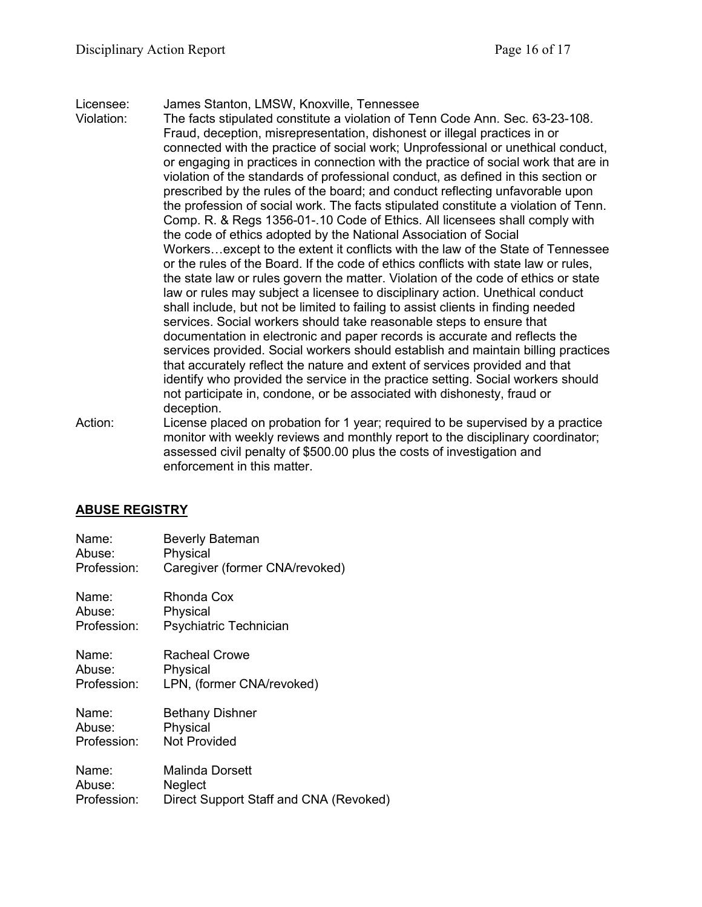### Licensee: James Stanton, LMSW, Knoxville, Tennessee

Violation: The facts stipulated constitute a violation of Tenn Code Ann. Sec. 63-23-108. Fraud, deception, misrepresentation, dishonest or illegal practices in or connected with the practice of social work; Unprofessional or unethical conduct, or engaging in practices in connection with the practice of social work that are in violation of the standards of professional conduct, as defined in this section or prescribed by the rules of the board; and conduct reflecting unfavorable upon the profession of social work. The facts stipulated constitute a violation of Tenn. Comp. R. & Regs 1356-01-.10 Code of Ethics. All licensees shall comply with the code of ethics adopted by the National Association of Social Workers…except to the extent it conflicts with the law of the State of Tennessee or the rules of the Board. If the code of ethics conflicts with state law or rules, the state law or rules govern the matter. Violation of the code of ethics or state law or rules may subject a licensee to disciplinary action. Unethical conduct shall include, but not be limited to failing to assist clients in finding needed services. Social workers should take reasonable steps to ensure that documentation in electronic and paper records is accurate and reflects the services provided. Social workers should establish and maintain billing practices that accurately reflect the nature and extent of services provided and that identify who provided the service in the practice setting. Social workers should not participate in, condone, or be associated with dishonesty, fraud or deception.

Action: License placed on probation for 1 year; required to be supervised by a practice monitor with weekly reviews and monthly report to the disciplinary coordinator; assessed civil penalty of \$500.00 plus the costs of investigation and enforcement in this matter.

### **ABUSE REGISTRY**

| Name:       | <b>Beverly Bateman</b>                 |
|-------------|----------------------------------------|
| Abuse:      | Physical                               |
| Profession: | Caregiver (former CNA/revoked)         |
| Name:       | Rhonda Cox                             |
| Abuse:      | Physical                               |
| Profession: | Psychiatric Technician                 |
| Name:       | Racheal Crowe                          |
| Abuse:      | Physical                               |
| Profession: | LPN, (former CNA/revoked)              |
| Name:       | <b>Bethany Dishner</b>                 |
| Abuse:      | Physical                               |
| Profession: | <b>Not Provided</b>                    |
| Name:       | Malinda Dorsett                        |
| Abuse:      | Neglect                                |
| Profession: | Direct Support Staff and CNA (Revoked) |